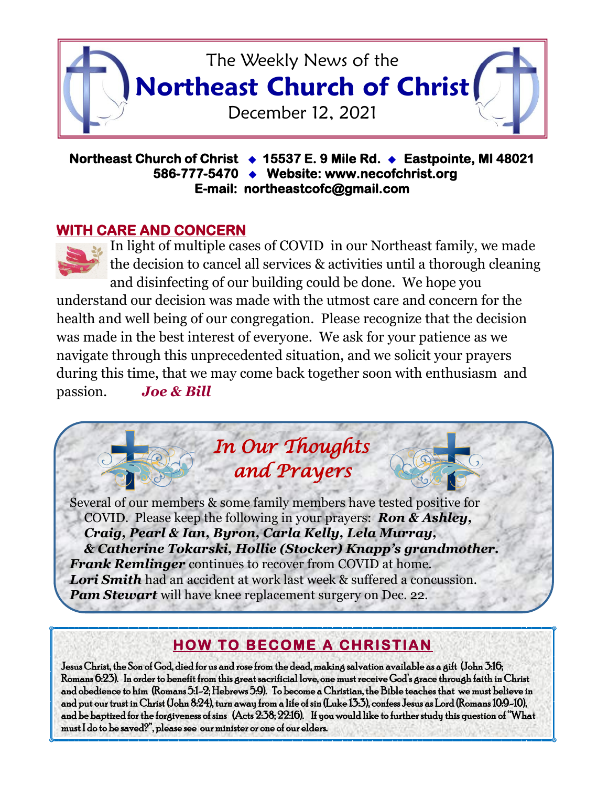

## **Northeast Church of Christ 15537 E. 9 Mile Rd. Eastpointe, MI 48021 586-777-5470 Website: www.necofchrist.org E-mail: northeastcofc@gmail.com**

# **WITH CARE AND CONCERN**



In light of multiple cases of COVID in our Northeast family, we made the decision to cancel all services & activities until a thorough cleaning and disinfecting of our building could be done. We hope you

understand our decision was made with the utmost care and concern for the health and well being of our congregation. Please recognize that the decision was made in the best interest of everyone. We ask for your patience as we navigate through this unprecedented situation, and we solicit your prayers during this time, that we may come back together soon with enthusiasm and passion. *Joe & Bill* 

*In Our Thoughts* 

 *and Prayers* 

Several of our members & some family members have tested positive for COVID. Please keep the following in your prayers: *Ron & Ashley, Craig, Pearl & Ian, Byron, Carla Kelly, Lela Murray, & Catherine Tokarski, Hollie (Stocker) Knapp's grandmother. Frank Remlinger* continues to recover from COVID at home. *Lori Smith* had an accident at work last week & suffered a concussion. *Pam Stewart* will have knee replacement surgery on Dec. 22.

# **HOW TO BECOME A CHRISTIAN**

Jesus Christ, the Son of God, died for us and rose from the dead, making salvation available as a gift (John 3:16; Romans 6:23). In order to benefit from this great sacrificial love, one must receive God's grace through faith in Christ and obedience to him (Romans 5:1-2; Hebrews 5:9). To become a Christian, the Bible teaches that we must believe in and put our trust in Christ (John 8:24), turn away from a life of sin (Luke 13:3), confess Jesus as Lord (Romans 10:9-10), and be baptized for the forgiveness of sins (Acts 2:38; 22:16). If you would like to further study this question of "What must I do to be saved?", please see our minister or one of our elders.